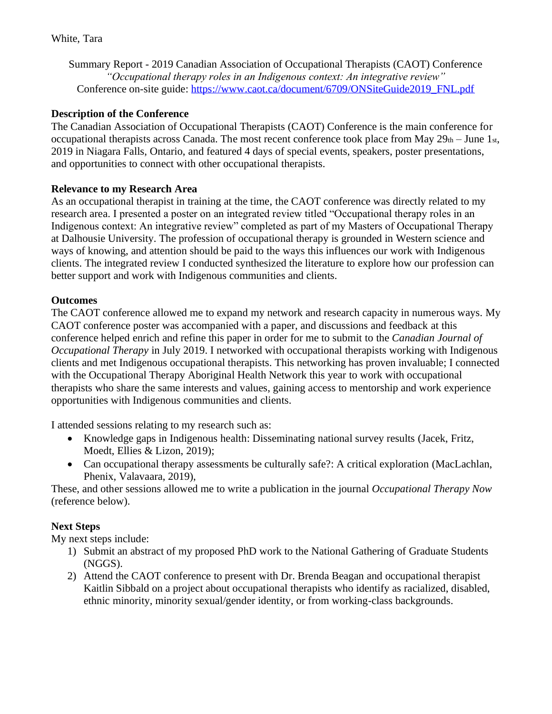Summary Report - 2019 Canadian Association of Occupational Therapists (CAOT) Conference *"Occupational therapy roles in an Indigenous context: An integrative review"* Conference on-site guide: [https://www.caot.ca/document/6709/ONSiteGuide2019\\_FNL.pdf](https://www.caot.ca/document/6709/ONSiteGuide2019_FNL.pdf)

# **Description of the Conference**

The Canadian Association of Occupational Therapists (CAOT) Conference is the main conference for occupational therapists across Canada. The most recent conference took place from May  $29<sub>th</sub> - June 1<sub>st</sub>$ , 2019 in Niagara Falls, Ontario, and featured 4 days of special events, speakers, poster presentations, and opportunities to connect with other occupational therapists.

## **Relevance to my Research Area**

As an occupational therapist in training at the time, the CAOT conference was directly related to my research area. I presented a poster on an integrated review titled "Occupational therapy roles in an Indigenous context: An integrative review" completed as part of my Masters of Occupational Therapy at Dalhousie University. The profession of occupational therapy is grounded in Western science and ways of knowing, and attention should be paid to the ways this influences our work with Indigenous clients. The integrated review I conducted synthesized the literature to explore how our profession can better support and work with Indigenous communities and clients.

## **Outcomes**

The CAOT conference allowed me to expand my network and research capacity in numerous ways. My CAOT conference poster was accompanied with a paper, and discussions and feedback at this conference helped enrich and refine this paper in order for me to submit to the *Canadian Journal of Occupational Therapy* in July 2019. I networked with occupational therapists working with Indigenous clients and met Indigenous occupational therapists. This networking has proven invaluable; I connected with the Occupational Therapy Aboriginal Health Network this year to work with occupational therapists who share the same interests and values, gaining access to mentorship and work experience opportunities with Indigenous communities and clients.

I attended sessions relating to my research such as:

- Knowledge gaps in Indigenous health: Disseminating national survey results (Jacek, Fritz, Moedt, Ellies & Lizon, 2019);
- Can occupational therapy assessments be culturally safe?: A critical exploration (MacLachlan, Phenix, Valavaara, 2019),

These, and other sessions allowed me to write a publication in the journal *Occupational Therapy Now* (reference below).

## **Next Steps**

My next steps include:

- 1) Submit an abstract of my proposed PhD work to the National Gathering of Graduate Students (NGGS).
- 2) Attend the CAOT conference to present with Dr. Brenda Beagan and occupational therapist Kaitlin Sibbald on a project about occupational therapists who identify as racialized, disabled, ethnic minority, minority sexual/gender identity, or from working-class backgrounds.